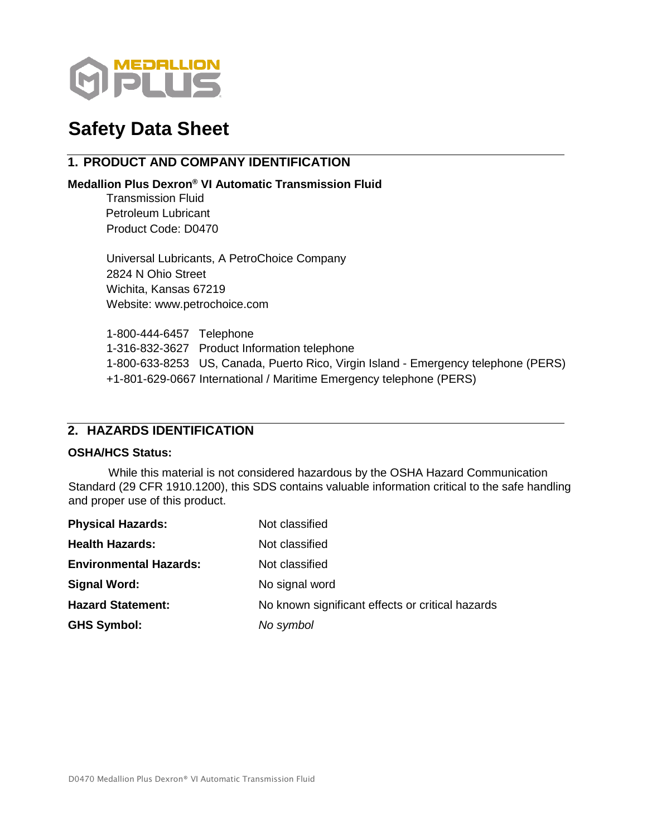

# **Safety Data Sheet**

# **1. PRODUCT AND COMPANY IDENTIFICATION**

# **Medallion Plus Dexron® VI Automatic Transmission Fluid**

Transmission Fluid Petroleum Lubricant Product Code: D0470

Universal Lubricants, A PetroChoice Company 2824 N Ohio Street Wichita, Kansas 67219 Website: www.petrochoice.com

1-800-444-6457 Telephone 1-316-832-3627 Product Information telephone 1-800-633-8253 US, Canada, Puerto Rico, Virgin Island - Emergency telephone (PERS) +1-801-629-0667 International / Maritime Emergency telephone (PERS)

# **2. HAZARDS IDENTIFICATION**

# **OSHA/HCS Status:**

While this material is not considered hazardous by the OSHA Hazard Communication Standard (29 CFR 1910.1200), this SDS contains valuable information critical to the safe handling and proper use of this product.

| <b>Physical Hazards:</b>      | Not classified                                   |
|-------------------------------|--------------------------------------------------|
| <b>Health Hazards:</b>        | Not classified                                   |
| <b>Environmental Hazards:</b> | Not classified                                   |
| <b>Signal Word:</b>           | No signal word                                   |
| <b>Hazard Statement:</b>      | No known significant effects or critical hazards |
| <b>GHS Symbol:</b>            | No symbol                                        |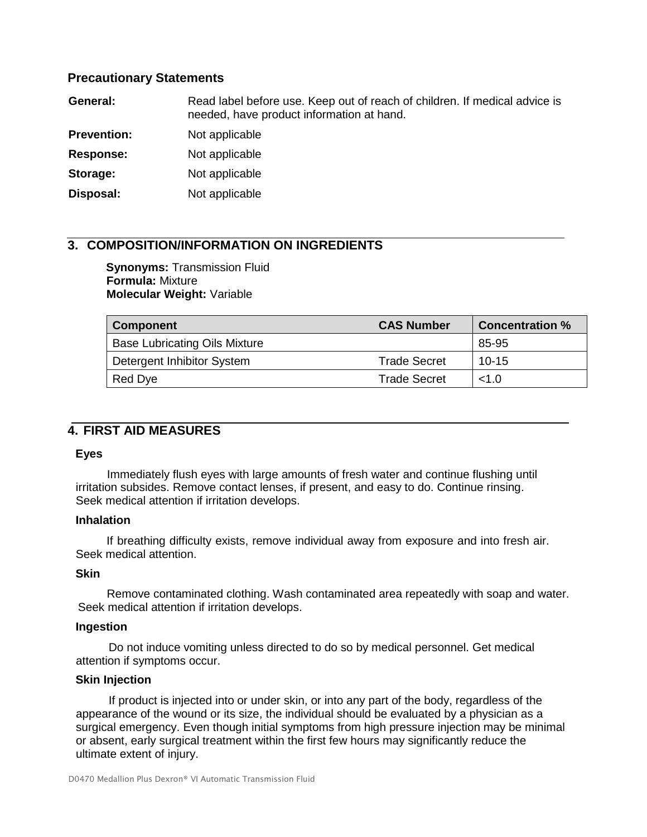# **Precautionary Statements**

| General:           | Read label before use. Keep out of reach of children. If medical advice is<br>needed, have product information at hand. |
|--------------------|-------------------------------------------------------------------------------------------------------------------------|
| <b>Prevention:</b> | Not applicable                                                                                                          |
| <b>Response:</b>   | Not applicable                                                                                                          |
| Storage:           | Not applicable                                                                                                          |
| Disposal:          | Not applicable                                                                                                          |

# **3. COMPOSITION/INFORMATION ON INGREDIENTS**

**Synonyms:** Transmission Fluid **Formula:** Mixture **Molecular Weight:** Variable

| <b>Component</b>                     | <b>CAS Number</b>   | <b>Concentration %</b> |
|--------------------------------------|---------------------|------------------------|
| <b>Base Lubricating Oils Mixture</b> |                     | 85-95                  |
| Detergent Inhibitor System           | <b>Trade Secret</b> | $10 - 15$              |
| Red Dye                              | <b>Trade Secret</b> | <1.0                   |

# **4. FIRST AID MEASURES**

# **Eyes**

Immediately flush eyes with large amounts of fresh water and continue flushing until irritation subsides. Remove contact lenses, if present, and easy to do. Continue rinsing. Seek medical attention if irritation develops.

# **Inhalation**

If breathing difficulty exists, remove individual away from exposure and into fresh air. Seek medical attention.

# **Skin**

Remove contaminated clothing. Wash contaminated area repeatedly with soap and water. Seek medical attention if irritation develops.

# **Ingestion**

Do not induce vomiting unless directed to do so by medical personnel. Get medical attention if symptoms occur.

# **Skin Injection**

If product is injected into or under skin, or into any part of the body, regardless of the appearance of the wound or its size, the individual should be evaluated by a physician as a surgical emergency. Even though initial symptoms from high pressure injection may be minimal or absent, early surgical treatment within the first few hours may significantly reduce the ultimate extent of injury.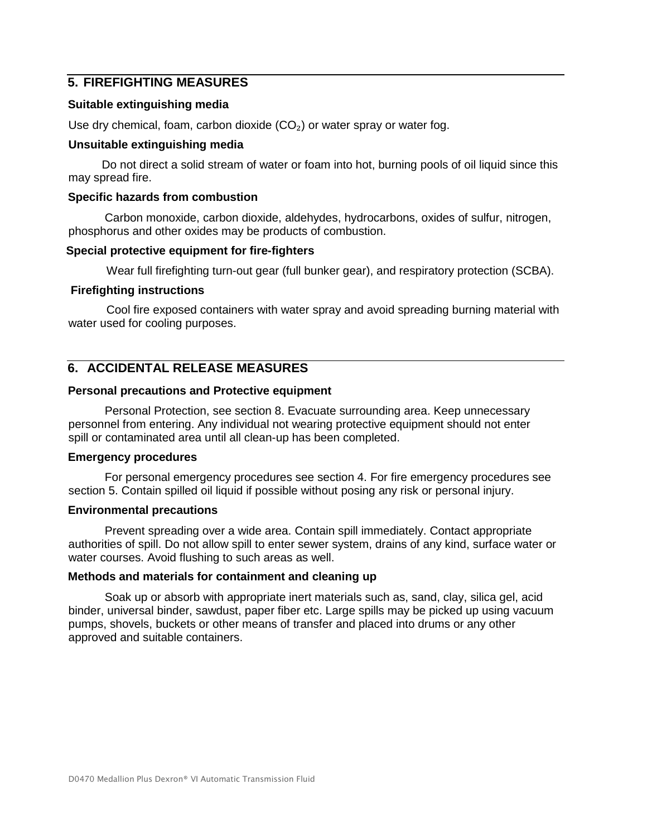# **5. FIREFIGHTING MEASURES**

# **Suitable extinguishing media**

Use dry chemical, foam, carbon dioxide  $(CO<sub>2</sub>)$  or water spray or water fog.

# **Unsuitable extinguishing media**

Do not direct a solid stream of water or foam into hot, burning pools of oil liquid since this may spread fire.

# **Specific hazards from combustion**

Carbon monoxide, carbon dioxide, aldehydes, hydrocarbons, oxides of sulfur, nitrogen, phosphorus and other oxides may be products of combustion.

# **Special protective equipment for fire-fighters**

Wear full firefighting turn-out gear (full bunker gear), and respiratory protection (SCBA).

# **Firefighting instructions**

Cool fire exposed containers with water spray and avoid spreading burning material with water used for cooling purposes.

# **6. ACCIDENTAL RELEASE MEASURES**

# **Personal precautions and Protective equipment**

Personal Protection, see section 8. Evacuate surrounding area. Keep unnecessary personnel from entering. Any individual not wearing protective equipment should not enter spill or contaminated area until all clean-up has been completed.

# **Emergency procedures**

For personal emergency procedures see section 4. For fire emergency procedures see section 5. Contain spilled oil liquid if possible without posing any risk or personal injury.

# **Environmental precautions**

Prevent spreading over a wide area. Contain spill immediately. Contact appropriate authorities of spill. Do not allow spill to enter sewer system, drains of any kind, surface water or water courses. Avoid flushing to such areas as well.

# **Methods and materials for containment and cleaning up**

Soak up or absorb with appropriate inert materials such as, sand, clay, silica gel, acid binder, universal binder, sawdust, paper fiber etc. Large spills may be picked up using vacuum pumps, shovels, buckets or other means of transfer and placed into drums or any other approved and suitable containers.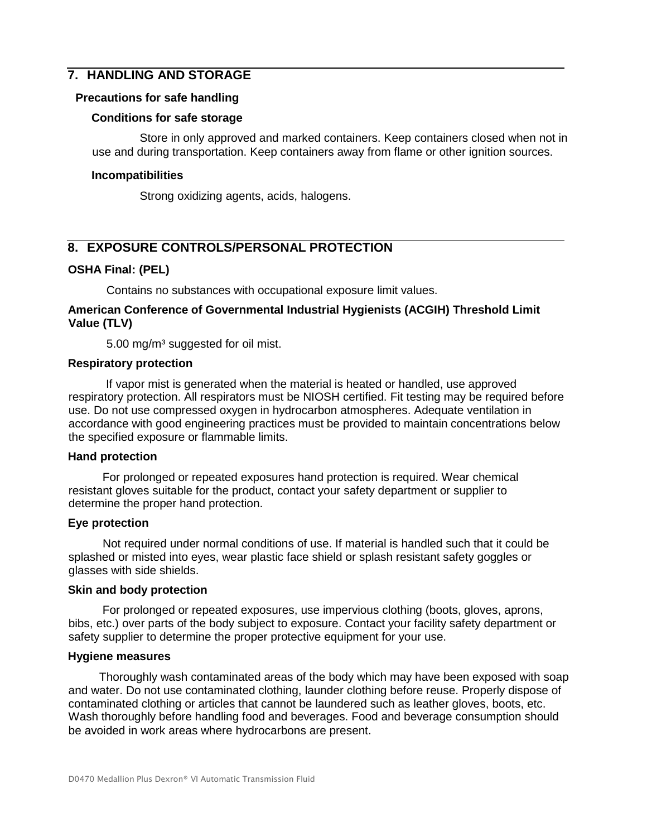# **7. HANDLING AND STORAGE**

# **Precautions for safe handling**

# **Conditions for safe storage**

Store in only approved and marked containers. Keep containers closed when not in use and during transportation. Keep containers away from flame or other ignition sources.

# **Incompatibilities**

Strong oxidizing agents, acids, halogens.

# **8. EXPOSURE CONTROLS/PERSONAL PROTECTION**

# **OSHA Final: (PEL)**

Contains no substances with occupational exposure limit values.

# **American Conference of Governmental Industrial Hygienists (ACGIH) Threshold Limit Value (TLV)**

5.00 mg/m<sup>3</sup> suggested for oil mist.

# **Respiratory protection**

If vapor mist is generated when the material is heated or handled, use approved respiratory protection. All respirators must be NIOSH certified. Fit testing may be required before use. Do not use compressed oxygen in hydrocarbon atmospheres. Adequate ventilation in accordance with good engineering practices must be provided to maintain concentrations below the specified exposure or flammable limits.

# **Hand protection**

For prolonged or repeated exposures hand protection is required. Wear chemical resistant gloves suitable for the product, contact your safety department or supplier to determine the proper hand protection.

# **Eye protection**

Not required under normal conditions of use. If material is handled such that it could be splashed or misted into eyes, wear plastic face shield or splash resistant safety goggles or glasses with side shields.

# **Skin and body protection**

For prolonged or repeated exposures, use impervious clothing (boots, gloves, aprons, bibs, etc.) over parts of the body subject to exposure. Contact your facility safety department or safety supplier to determine the proper protective equipment for your use.

# **Hygiene measures**

Thoroughly wash contaminated areas of the body which may have been exposed with soap and water. Do not use contaminated clothing, launder clothing before reuse. Properly dispose of contaminated clothing or articles that cannot be laundered such as leather gloves, boots, etc. Wash thoroughly before handling food and beverages. Food and beverage consumption should be avoided in work areas where hydrocarbons are present.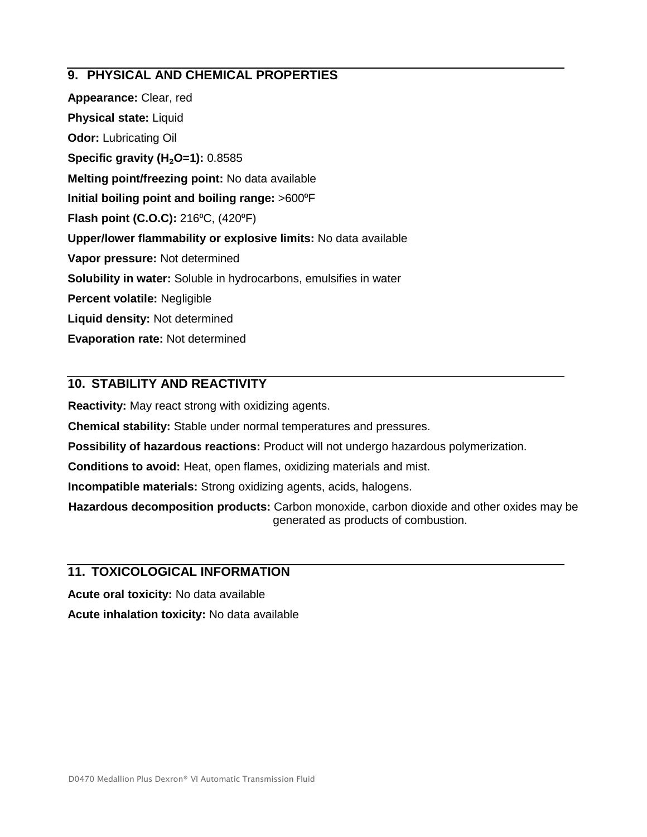# **9. PHYSICAL AND CHEMICAL PROPERTIES**

**Appearance:** Clear, red **Physical state:** Liquid **Odor:** Lubricating Oil **Specific gravity (H**₂**O=1):** 0.8585 **Melting point/freezing point:** No data available **Initial boiling point and boiling range:** >600⁰F **Flash point (C.O.C):** 216<sup>°</sup>C, (420<sup>°</sup>F) **Upper/lower flammability or explosive limits:** No data available **Vapor pressure:** Not determined **Solubility in water:** Soluble in hydrocarbons, emulsifies in water **Percent volatile:** Negligible **Liquid density:** Not determined **Evaporation rate:** Not determined

# **10. STABILITY AND REACTIVITY**

**Reactivity:** May react strong with oxidizing agents.

**Chemical stability:** Stable under normal temperatures and pressures.

**Possibility of hazardous reactions:** Product will not undergo hazardous polymerization.

**Conditions to avoid:** Heat, open flames, oxidizing materials and mist.

**Incompatible materials:** Strong oxidizing agents, acids, halogens.

**Hazardous decomposition products:** Carbon monoxide, carbon dioxide and other oxides may be generated as products of combustion.

# **11. TOXICOLOGICAL INFORMATION**

**Acute oral toxicity:** No data available **Acute inhalation toxicity:** No data available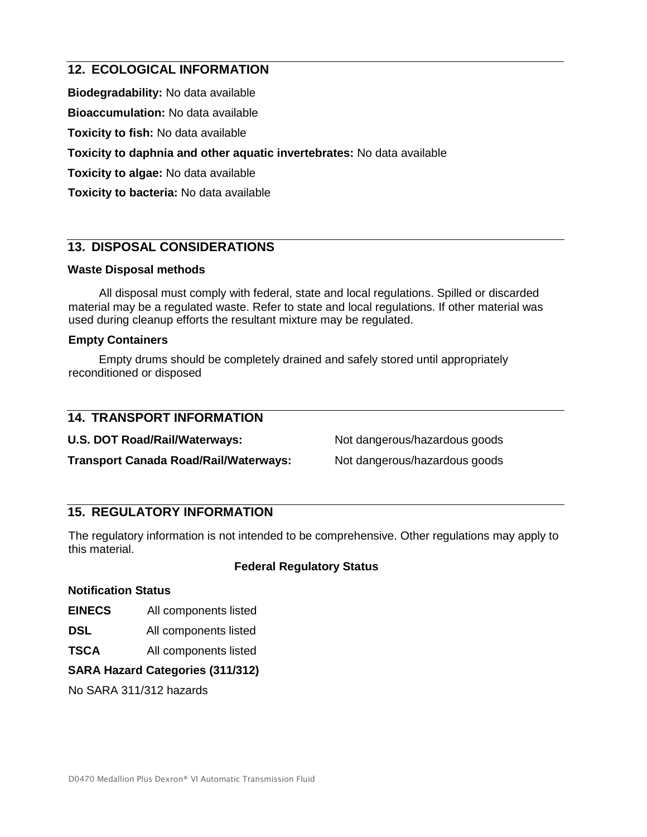# **12. ECOLOGICAL INFORMATION**

**Biodegradability:** No data available

**Bioaccumulation:** No data available

**Toxicity to fish:** No data available

**Toxicity to daphnia and other aquatic invertebrates:** No data available

**Toxicity to algae:** No data available

**Toxicity to bacteria:** No data available

# **13. DISPOSAL CONSIDERATIONS**

# **Waste Disposal methods**

All disposal must comply with federal, state and local regulations. Spilled or discarded material may be a regulated waste. Refer to state and local regulations. If other material was used during cleanup efforts the resultant mixture may be regulated.

# **Empty Containers**

Empty drums should be completely drained and safely stored until appropriately reconditioned or disposed

| <b>14. TRANSPORT INFORMATION</b>             |                               |
|----------------------------------------------|-------------------------------|
| U.S. DOT Road/Rail/Waterways:                | Not dangerous/hazardous goods |
| <b>Transport Canada Road/Rail/Waterways:</b> | Not dangerous/hazardous goods |

# **15. REGULATORY INFORMATION**

The regulatory information is not intended to be comprehensive. Other regulations may apply to this material.

# **Federal Regulatory Status**

# **Notification Status**

- **EINECS** All components listed
- **DSL** All components listed
- **TSCA** All components listed

# **SARA Hazard Categories (311/312)**

No SARA 311/312 hazards